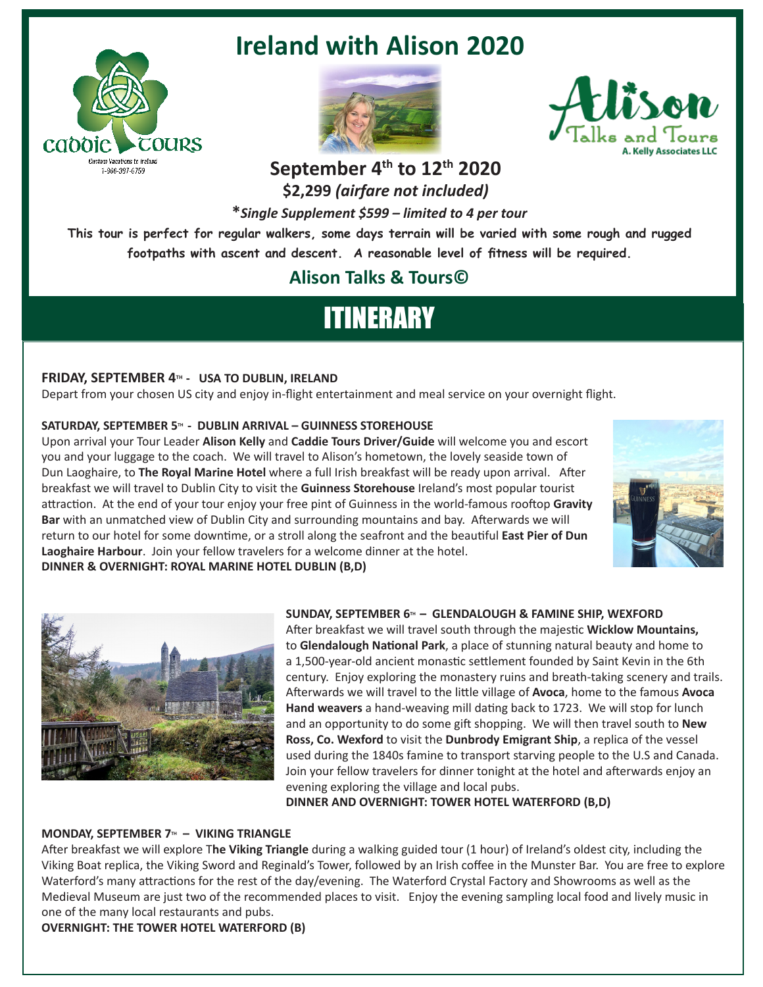

### **Ireland with Alison 2020**





## September 4<sup>th</sup> to 12<sup>th</sup> 2020

**\$2,299** *(airfare not included)*

**\****Single Supplement \$599 – limited to 4 per tour*

**This tour is perfect for regular walkers, some days terrain will be varied with some rough and rugged footpaths with ascent and descent. A reasonable level of fitness will be required.**

### **Alison Talks & Tours©**

# ITINERARY

#### **FRIDAY, SEPTEMBER 4TH - USA TO DUBLIN, IRELAND**

Depart from your chosen US city and enjoy in-flight entertainment and meal service on your overnight flight.

#### SATURDAY, SEPTEMBER 5<sup>TH</sup> - DUBLIN ARRIVAL – GUINNESS STOREHOUSE

Upon arrival your Tour Leader **Alison Kelly** and **Caddie Tours Driver/Guide** will welcome you and escort you and your luggage to the coach. We will travel to Alison's hometown, the lovely seaside town of Dun Laoghaire, to **The Royal Marine Hotel** where a full Irish breakfast will be ready upon arrival. After breakfast we will travel to Dublin City to visit the **Guinness Storehouse** Ireland's most popular tourist attraction. At the end of your tour enjoy your free pint of Guinness in the world-famous rooftop **Gravity Bar** with an unmatched view of Dublin City and surrounding mountains and bay. Afterwards we will return to our hotel for some downtime, or a stroll along the seafront and the beautiful **East Pier of Dun Laoghaire Harbour**. Join your fellow travelers for a welcome dinner at the hotel. **DINNER & OVERNIGHT: ROYAL MARINE HOTEL DUBLIN (B,D)** 





#### SUNDAY, SEPTEMBER 6<sup>TH</sup> - GLENDALOUGH & FAMINE SHIP, WEXFORD

After breakfast we will travel south through the majestic **Wicklow Mountains,** to **Glendalough National Park**, a place of stunning natural beauty and home to a 1,500-year-old ancient monastic settlement founded by Saint Kevin in the 6th century. Enjoy exploring the monastery ruins and breath-taking scenery and trails. Afterwards we will travel to the little village of **Avoca**, home to the famous **Avoca Hand weavers** a hand-weaving mill dating back to 1723. We will stop for lunch and an opportunity to do some gift shopping. We will then travel south to **New Ross, Co. Wexford** to visit the **Dunbrody Emigrant Ship**, a replica of the vessel used during the 1840s famine to transport starving people to the U.S and Canada. Join your fellow travelers for dinner tonight at the hotel and afterwards enjoy an evening exploring the village and local pubs.

**DINNER AND OVERNIGHT: TOWER HOTEL WATERFORD (B,D)** 

#### **MONDAY, SEPTEMBER 7<sup>TH</sup> - VIKING TRIANGLE**

After breakfast we will explore T**he Viking Triangle** during a walking guided tour (1 hour) of Ireland's oldest city, including the Viking Boat replica, the Viking Sword and Reginald's Tower, followed by an Irish coffee in the Munster Bar. You are free to explore Waterford's many attractions for the rest of the day/evening. The Waterford Crystal Factory and Showrooms as well as the Medieval Museum are just two of the recommended places to visit. Enjoy the evening sampling local food and lively music in one of the many local restaurants and pubs.

**OVERNIGHT: THE TOWER HOTEL WATERFORD (B)**